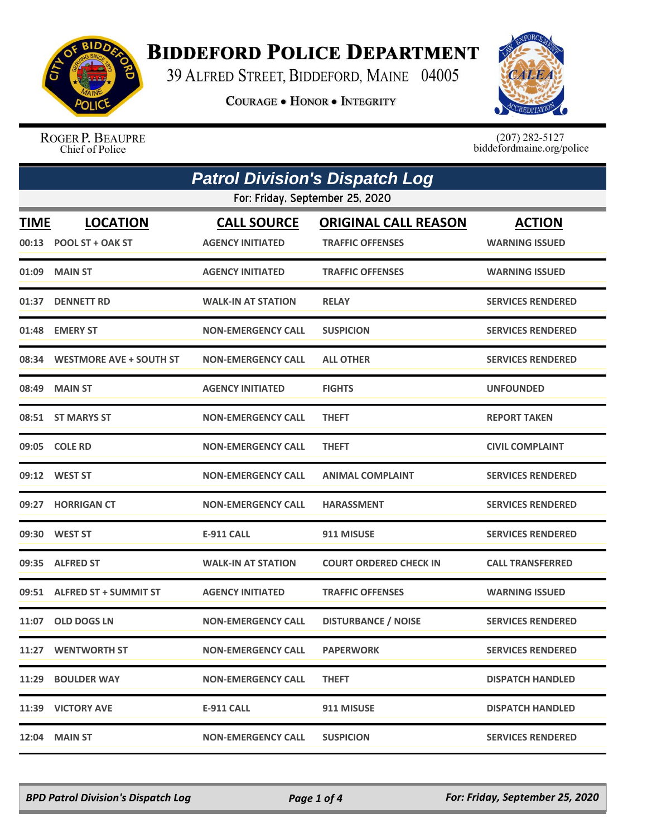

## **BIDDEFORD POLICE DEPARTMENT**

39 ALFRED STREET, BIDDEFORD, MAINE 04005

**COURAGE . HONOR . INTEGRITY** 



ROGER P. BEAUPRE Chief of Police

 $(207)$  282-5127<br>biddefordmaine.org/police

|             | <b>Patrol Division's Dispatch Log</b>     |                                               |                                                        |                                        |  |  |
|-------------|-------------------------------------------|-----------------------------------------------|--------------------------------------------------------|----------------------------------------|--|--|
|             | For: Friday, September 25, 2020           |                                               |                                                        |                                        |  |  |
| <b>TIME</b> | <b>LOCATION</b><br>00:13 POOL ST + OAK ST | <b>CALL SOURCE</b><br><b>AGENCY INITIATED</b> | <b>ORIGINAL CALL REASON</b><br><b>TRAFFIC OFFENSES</b> | <b>ACTION</b><br><b>WARNING ISSUED</b> |  |  |
|             | 01:09 MAIN ST                             | <b>AGENCY INITIATED</b>                       | <b>TRAFFIC OFFENSES</b>                                | <b>WARNING ISSUED</b>                  |  |  |
|             | 01:37 DENNETT RD                          | <b>WALK-IN AT STATION</b>                     | <b>RELAY</b>                                           | <b>SERVICES RENDERED</b>               |  |  |
|             | 01:48 EMERY ST                            | <b>NON-EMERGENCY CALL</b>                     | <b>SUSPICION</b>                                       | <b>SERVICES RENDERED</b>               |  |  |
|             | 08:34 WESTMORE AVE + SOUTH ST             | <b>NON-EMERGENCY CALL</b>                     | <b>ALL OTHER</b>                                       | <b>SERVICES RENDERED</b>               |  |  |
|             | 08:49 MAIN ST                             | <b>AGENCY INITIATED</b>                       | <b>FIGHTS</b>                                          | <b>UNFOUNDED</b>                       |  |  |
|             | 08:51 ST MARYS ST                         | <b>NON-EMERGENCY CALL</b>                     | <b>THEFT</b>                                           | <b>REPORT TAKEN</b>                    |  |  |
|             | 09:05 COLE RD                             | <b>NON-EMERGENCY CALL</b>                     | <b>THEFT</b>                                           | <b>CIVIL COMPLAINT</b>                 |  |  |
|             | 09:12 WEST ST                             | <b>NON-EMERGENCY CALL</b>                     | <b>ANIMAL COMPLAINT</b>                                | <b>SERVICES RENDERED</b>               |  |  |
|             | 09:27 HORRIGAN CT                         | <b>NON-EMERGENCY CALL</b>                     | <b>HARASSMENT</b>                                      | <b>SERVICES RENDERED</b>               |  |  |
|             | 09:30 WEST ST                             | <b>E-911 CALL</b>                             | 911 MISUSE                                             | <b>SERVICES RENDERED</b>               |  |  |
|             | 09:35 ALFRED ST                           | <b>WALK-IN AT STATION</b>                     | <b>COURT ORDERED CHECK IN</b>                          | <b>CALL TRANSFERRED</b>                |  |  |
|             | 09:51 ALFRED ST + SUMMIT ST               | <b>AGENCY INITIATED</b>                       | <b>TRAFFIC OFFENSES</b>                                | <b>WARNING ISSUED</b>                  |  |  |
| 11:07       | <b>OLD DOGS LN</b>                        | <b>NON-EMERGENCY CALL</b>                     | <b>DISTURBANCE / NOISE</b>                             | <b>SERVICES RENDERED</b>               |  |  |
|             | 11:27 WENTWORTH ST                        | <b>NON-EMERGENCY CALL</b>                     | <b>PAPERWORK</b>                                       | <b>SERVICES RENDERED</b>               |  |  |
|             | 11:29 BOULDER WAY                         | <b>NON-EMERGENCY CALL</b>                     | <b>THEFT</b>                                           | <b>DISPATCH HANDLED</b>                |  |  |
|             | 11:39 VICTORY AVE                         | E-911 CALL                                    | 911 MISUSE                                             | <b>DISPATCH HANDLED</b>                |  |  |
|             | 12:04 MAIN ST                             | <b>NON-EMERGENCY CALL</b>                     | <b>SUSPICION</b>                                       | <b>SERVICES RENDERED</b>               |  |  |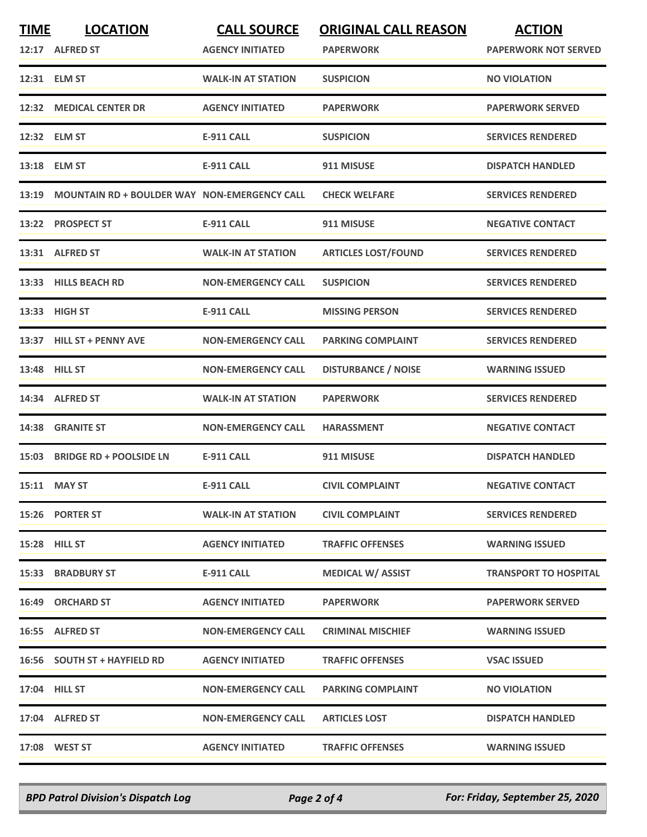| <b>TIME</b> | <b>LOCATION</b>                                    | <b>CALL SOURCE</b>        | <b>ORIGINAL CALL REASON</b> | <b>ACTION</b>                |
|-------------|----------------------------------------------------|---------------------------|-----------------------------|------------------------------|
|             | 12:17 ALFRED ST                                    | <b>AGENCY INITIATED</b>   | <b>PAPERWORK</b>            | <b>PAPERWORK NOT SERVED</b>  |
|             | 12:31 ELM ST                                       | <b>WALK-IN AT STATION</b> | <b>SUSPICION</b>            | <b>NO VIOLATION</b>          |
|             | 12:32 MEDICAL CENTER DR                            | <b>AGENCY INITIATED</b>   | <b>PAPERWORK</b>            | <b>PAPERWORK SERVED</b>      |
|             | 12:32 ELM ST                                       | E-911 CALL                | <b>SUSPICION</b>            | <b>SERVICES RENDERED</b>     |
|             | 13:18 ELM ST                                       | <b>E-911 CALL</b>         | 911 MISUSE                  | <b>DISPATCH HANDLED</b>      |
|             | 13:19 MOUNTAIN RD + BOULDER WAY NON-EMERGENCY CALL |                           | <b>CHECK WELFARE</b>        | <b>SERVICES RENDERED</b>     |
| 13:22       | <b>PROSPECT ST</b>                                 | <b>E-911 CALL</b>         | 911 MISUSE                  | <b>NEGATIVE CONTACT</b>      |
|             | 13:31 ALFRED ST                                    | <b>WALK-IN AT STATION</b> | <b>ARTICLES LOST/FOUND</b>  | <b>SERVICES RENDERED</b>     |
|             | 13:33 HILLS BEACH RD                               | <b>NON-EMERGENCY CALL</b> | <b>SUSPICION</b>            | <b>SERVICES RENDERED</b>     |
|             | 13:33 HIGH ST                                      | <b>E-911 CALL</b>         | <b>MISSING PERSON</b>       | <b>SERVICES RENDERED</b>     |
|             | 13:37 HILL ST + PENNY AVE                          | <b>NON-EMERGENCY CALL</b> | <b>PARKING COMPLAINT</b>    | <b>SERVICES RENDERED</b>     |
|             | 13:48 HILL ST                                      | <b>NON-EMERGENCY CALL</b> | <b>DISTURBANCE / NOISE</b>  | <b>WARNING ISSUED</b>        |
|             | 14:34 ALFRED ST                                    | <b>WALK-IN AT STATION</b> | <b>PAPERWORK</b>            | <b>SERVICES RENDERED</b>     |
| 14:38       | <b>GRANITE ST</b>                                  | <b>NON-EMERGENCY CALL</b> | <b>HARASSMENT</b>           | <b>NEGATIVE CONTACT</b>      |
|             | 15:03 BRIDGE RD + POOLSIDE LN                      | <b>E-911 CALL</b>         | 911 MISUSE                  | <b>DISPATCH HANDLED</b>      |
|             | 15:11 MAY ST                                       | <b>E-911 CALL</b>         | <b>CIVIL COMPLAINT</b>      | <b>NEGATIVE CONTACT</b>      |
|             | 15:26 PORTER ST                                    | <b>WALK-IN AT STATION</b> | <b>CIVIL COMPLAINT</b>      | <b>SERVICES RENDERED</b>     |
|             | 15:28 HILL ST                                      | <b>AGENCY INITIATED</b>   | <b>TRAFFIC OFFENSES</b>     | <b>WARNING ISSUED</b>        |
|             | 15:33 BRADBURY ST                                  | <b>E-911 CALL</b>         | <b>MEDICAL W/ ASSIST</b>    | <b>TRANSPORT TO HOSPITAL</b> |
|             | 16:49 ORCHARD ST                                   | <b>AGENCY INITIATED</b>   | <b>PAPERWORK</b>            | <b>PAPERWORK SERVED</b>      |
|             | 16:55 ALFRED ST                                    | <b>NON-EMERGENCY CALL</b> | <b>CRIMINAL MISCHIEF</b>    | <b>WARNING ISSUED</b>        |
|             | 16:56 SOUTH ST + HAYFIELD RD                       | <b>AGENCY INITIATED</b>   | <b>TRAFFIC OFFENSES</b>     | <b>VSAC ISSUED</b>           |
|             | 17:04 HILL ST                                      | <b>NON-EMERGENCY CALL</b> | <b>PARKING COMPLAINT</b>    | <b>NO VIOLATION</b>          |
|             | 17:04 ALFRED ST                                    | <b>NON-EMERGENCY CALL</b> | <b>ARTICLES LOST</b>        | <b>DISPATCH HANDLED</b>      |
|             | 17:08 WEST ST                                      | <b>AGENCY INITIATED</b>   | <b>TRAFFIC OFFENSES</b>     | <b>WARNING ISSUED</b>        |

*BPD Patrol Division's Dispatch Log Page 2 of 4 For: Friday, September 25, 2020*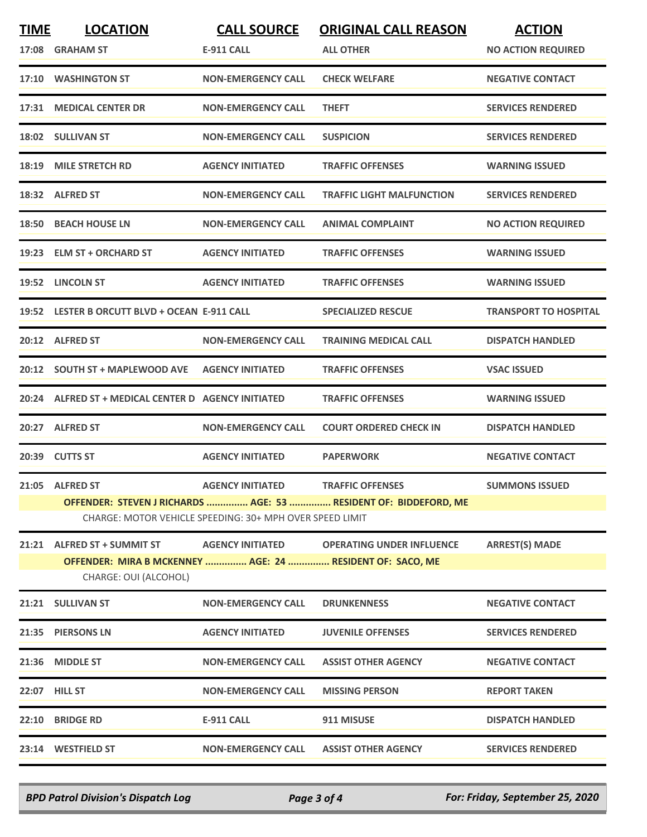| <b>TIME</b> | <b>LOCATION</b>                                           | <b>CALL SOURCE</b>        | <b>ORIGINAL CALL REASON</b>                                      | <b>ACTION</b>                |  |
|-------------|-----------------------------------------------------------|---------------------------|------------------------------------------------------------------|------------------------------|--|
|             | 17:08 GRAHAM ST                                           | <b>E-911 CALL</b>         | <b>ALL OTHER</b>                                                 | <b>NO ACTION REQUIRED</b>    |  |
|             | 17:10 WASHINGTON ST                                       | <b>NON-EMERGENCY CALL</b> | <b>CHECK WELFARE</b>                                             | <b>NEGATIVE CONTACT</b>      |  |
| 17:31       | <b>MEDICAL CENTER DR</b>                                  | <b>NON-EMERGENCY CALL</b> | <b>THEFT</b>                                                     | <b>SERVICES RENDERED</b>     |  |
|             | 18:02 SULLIVAN ST                                         | <b>NON-EMERGENCY CALL</b> | <b>SUSPICION</b>                                                 | <b>SERVICES RENDERED</b>     |  |
| 18:19       | <b>MILE STRETCH RD</b>                                    | <b>AGENCY INITIATED</b>   | <b>TRAFFIC OFFENSES</b>                                          | <b>WARNING ISSUED</b>        |  |
|             | 18:32 ALFRED ST                                           | <b>NON-EMERGENCY CALL</b> | <b>TRAFFIC LIGHT MALFUNCTION</b>                                 | <b>SERVICES RENDERED</b>     |  |
|             | 18:50 BEACH HOUSE LN                                      | <b>NON-EMERGENCY CALL</b> | <b>ANIMAL COMPLAINT</b>                                          | <b>NO ACTION REQUIRED</b>    |  |
|             | 19:23 ELM ST + ORCHARD ST                                 | <b>AGENCY INITIATED</b>   | <b>TRAFFIC OFFENSES</b>                                          | <b>WARNING ISSUED</b>        |  |
|             | 19:52 LINCOLN ST                                          | <b>AGENCY INITIATED</b>   | <b>TRAFFIC OFFENSES</b>                                          | <b>WARNING ISSUED</b>        |  |
|             | 19:52 LESTER B ORCUTT BLVD + OCEAN E-911 CALL             |                           | <b>SPECIALIZED RESCUE</b>                                        | <b>TRANSPORT TO HOSPITAL</b> |  |
|             | 20:12 ALFRED ST                                           | <b>NON-EMERGENCY CALL</b> | <b>TRAINING MEDICAL CALL</b>                                     | <b>DISPATCH HANDLED</b>      |  |
|             | 20:12 SOUTH ST + MAPLEWOOD AVE                            | <b>AGENCY INITIATED</b>   | <b>TRAFFIC OFFENSES</b>                                          | <b>VSAC ISSUED</b>           |  |
|             | 20:24 ALFRED ST + MEDICAL CENTER D AGENCY INITIATED       |                           | <b>TRAFFIC OFFENSES</b>                                          | <b>WARNING ISSUED</b>        |  |
|             | 20:27 ALFRED ST                                           | <b>NON-EMERGENCY CALL</b> | <b>COURT ORDERED CHECK IN</b>                                    | <b>DISPATCH HANDLED</b>      |  |
|             | 20:39 CUTTS ST                                            | <b>AGENCY INITIATED</b>   | <b>PAPERWORK</b>                                                 | <b>NEGATIVE CONTACT</b>      |  |
|             | 21:05 ALFRED ST                                           | <b>AGENCY INITIATED</b>   | <b>TRAFFIC OFFENSES</b>                                          | <b>SUMMONS ISSUED</b>        |  |
|             |                                                           |                           | OFFENDER: STEVEN J RICHARDS  AGE: 53  RESIDENT OF: BIDDEFORD, ME |                              |  |
|             | CHARGE: MOTOR VEHICLE SPEEDING: 30+ MPH OVER SPEED LIMIT  |                           |                                                                  |                              |  |
| 21:21       | <b>ALFRED ST + SUMMIT ST</b>                              | <b>AGENCY INITIATED</b>   | <b>OPERATING UNDER INFLUENCE</b>                                 | <b>ARREST(S) MADE</b>        |  |
|             | OFFENDER: MIRA B MCKENNEY  AGE: 24  RESIDENT OF: SACO, ME |                           |                                                                  |                              |  |
|             | CHARGE: OUI (ALCOHOL)                                     |                           |                                                                  |                              |  |
|             | 21:21 SULLIVAN ST                                         | <b>NON-EMERGENCY CALL</b> | <b>DRUNKENNESS</b>                                               | <b>NEGATIVE CONTACT</b>      |  |
|             | 21:35 PIERSONS LN                                         | <b>AGENCY INITIATED</b>   | <b>JUVENILE OFFENSES</b>                                         | <b>SERVICES RENDERED</b>     |  |
|             | 21:36 MIDDLE ST                                           | <b>NON-EMERGENCY CALL</b> | <b>ASSIST OTHER AGENCY</b>                                       | <b>NEGATIVE CONTACT</b>      |  |
|             | 22:07 HILL ST                                             | <b>NON-EMERGENCY CALL</b> | <b>MISSING PERSON</b>                                            | <b>REPORT TAKEN</b>          |  |
| 22:10       | <b>BRIDGE RD</b>                                          | <b>E-911 CALL</b>         | 911 MISUSE                                                       | <b>DISPATCH HANDLED</b>      |  |
|             | 23:14 WESTFIELD ST                                        | <b>NON-EMERGENCY CALL</b> | <b>ASSIST OTHER AGENCY</b>                                       | <b>SERVICES RENDERED</b>     |  |
|             |                                                           |                           |                                                                  |                              |  |

*BPD Patrol Division's Dispatch Log Page 3 of 4 For: Friday, September 25, 2020*